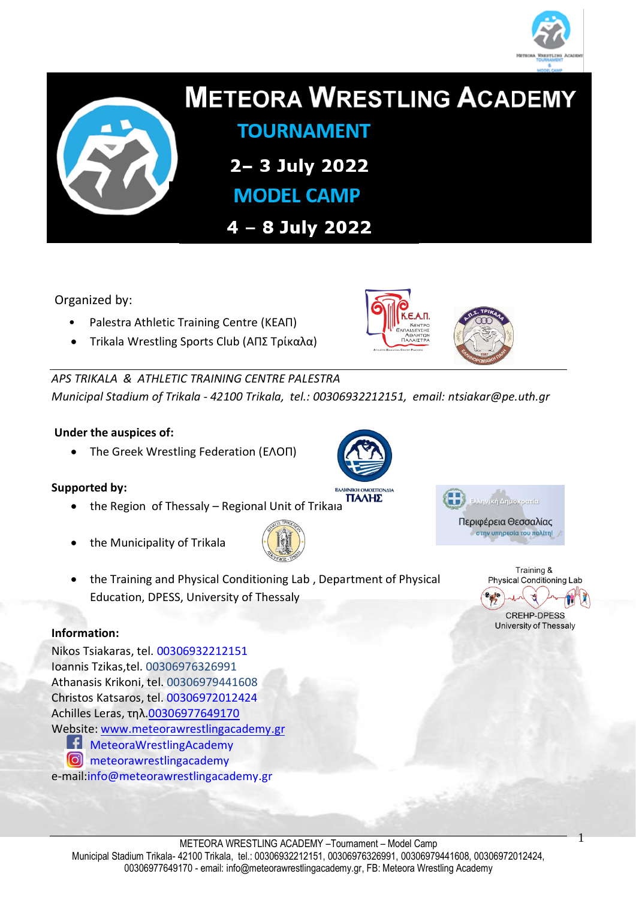



# **METEORA WRESTLING ACADEMY**

**TOURNAMENT** 

2-3 July 2022

**MODEL CAMP** 

4 - 8 July 2022

Organized by:

- Palestra Athletic Training Centre (ΚΕΑΠ)
- Trikala Wrestling Sports Club (ΑΠΣ Τρίκαλα)

*APS TRIKALA & ATHLETIC TRAINING CENTRE PALESTRA Municipal Stadium of Trikala - 42100 Trikala, tel.: 00306932212151, email: [ntsiakar@pe.uth.gr](mailto:ntsiakar@pe.uth.gr)*

#### **Under the auspices of:**

The Greek Wrestling Federation (ΕΛΟΠ)

#### **Supported by:**

- the Region of Thessaly Regional Unit of Trikala
- the Municipality of Trikala



 the Training and Physical Conditioning Lab , Department of Physical Education, DPESS, University of Thessaly

#### **Information:**

Nikos Tsiakaras, tel. 00306932212151 Ioannis Tzikas,tel. 00306976326991 Athanasis Krikoni, tel. 00306979441608 Christos Katsaros, tel. 00306972012424 Achilles Leras, τηλ.00306977649170 Website: [www.meteorawrestlingacademy.gr](http://www.meteorawrestlingacademy.gr/) **MeteoraWrestlingAcademy O** meteorawrestlingacademy e-mail[:info@meteorawrestlingacademy.gr](mailto:info@meteorawrestlingacademy.gr)







1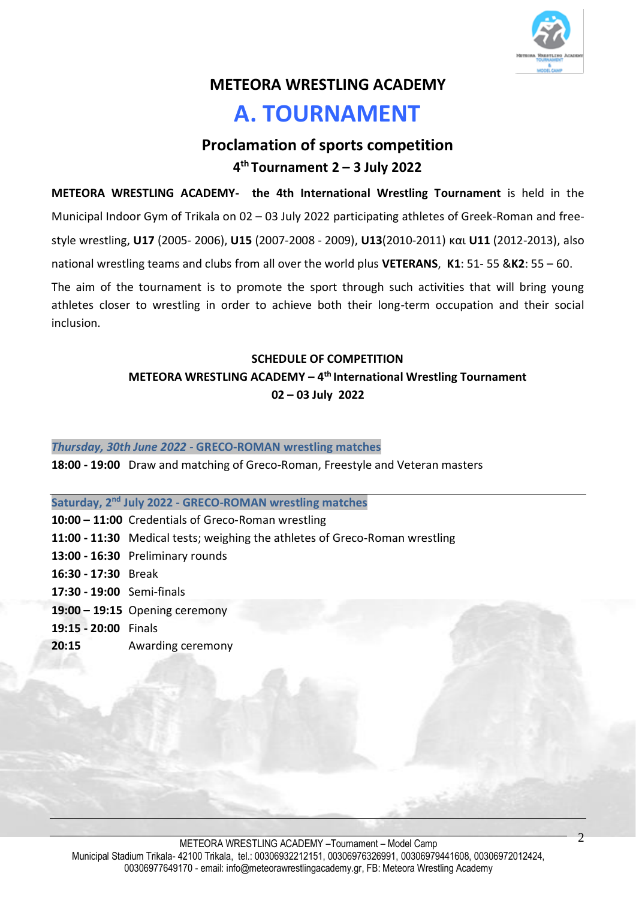

## **METEORA WRESTLING ACADEMY**

# **A. TOURNAMENT**

## **Proclamation of sports competition 4 th Tournament 2 – 3 July 2022**

**METEORA WRESTLING ACADEMY- the 4th International Wrestling Tournament** is held in the Municipal Indoor Gym of Trikala on 02 – 03 July 2022 participating athletes of Greek-Roman and freestyle wrestling, **U17** (2005- 2006), **U15** (2007-2008 - 2009), **U13**(2010-2011) και **U11** (2012-2013), also national wrestling teams and clubs from all over the world plus **VETERANS**, **K1**: 51- 55 &**K2**: 55 – 60. The aim of the tournament is to promote the sport through such activities that will bring young athletes closer to wrestling in order to achieve both their long-term occupation and their social inclusion.

## **SCHEDULE OF COMPETITION METEORA WRESTLING ACADEMY – 4 th International Wrestling Tournament 02 – 03 July 2022**

#### *Thursday, 30th June 2022 -* **GRECO-ROMAN wrestling matches**

**18:00 - 19:00** Draw and matching of Greco-Roman, Freestyle and Veteran masters

#### **Saturday, 2 nd July 2022 - GRECO-ROMAN wrestling matches**

- **10:00 – 11:00** Credentials of Greco-Roman wrestling
- **11:00 - 11:30** Medical tests; weighing the athletes of Greco-Roman wrestling
- **13:00 - 16:30** Preliminary rounds
- **16:30 - 17:30** Break
- **17:30 - 19:00** Semi-finals
- **19:00 – 19:15** Opening ceremony
- **19:15 - 20:00** Finals
- **20:15** Awarding ceremony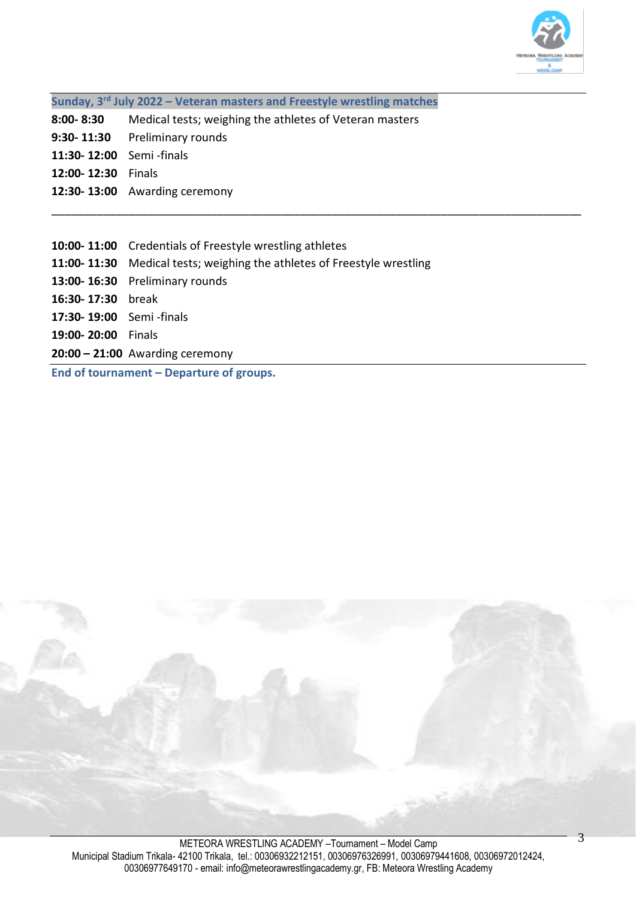

**Sunday, 3 rd July 2022 – Veteran masters and Freestyle wrestling matches**

- **8:00- 8:30** Medical tests; weighing the athletes of Veteran masters
- **9:30- 11:30** Preliminary rounds
- **11:30- 12:00** Semi -finals
- **12:00- 12:30** Finals
- **12:30- 13:00** Awarding ceremony
- **10:00- 11:00** Credentials of Freestyle wrestling athletes
- **11:00- 11:30** Medical tests; weighing the athletes of Freestyle wrestling

\_\_\_\_\_\_\_\_\_\_\_\_\_\_\_\_\_\_\_\_\_\_\_\_\_\_\_\_\_\_\_\_\_\_\_\_\_\_\_\_\_\_\_\_\_\_\_\_\_\_\_\_\_\_\_\_\_\_\_\_\_\_\_\_\_\_\_\_\_\_\_\_\_\_\_\_\_\_\_\_\_\_\_

- **13:00- 16:30** Preliminary rounds
- **16:30- 17:30** break
- **17:30- 19:00** Semi -finals
- **19:00- 20:00** Finals
- **20:00 – 21:00** Awarding ceremony

**End of tournament – Departure of groups.**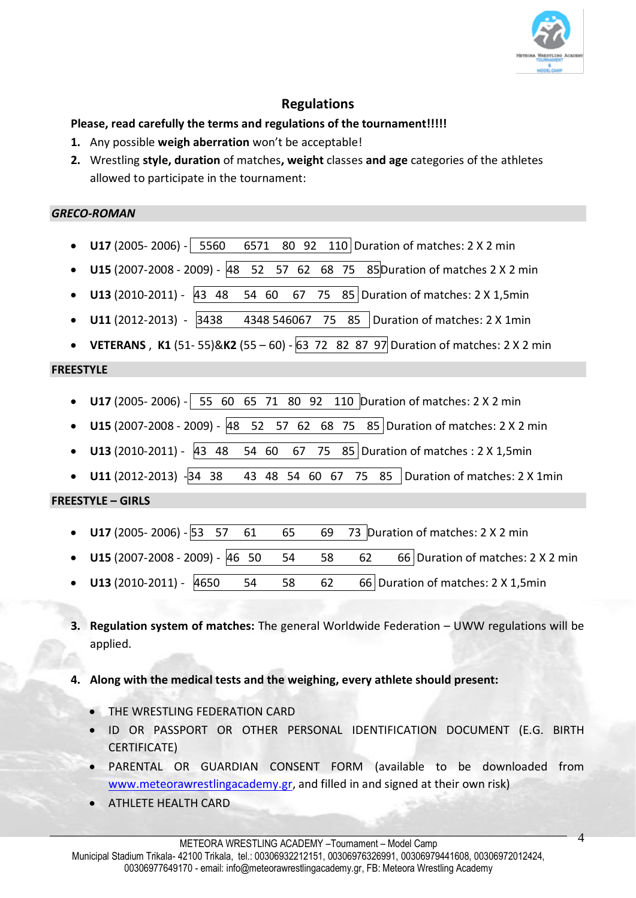

## **Regulations**

#### **Please, read carefully the terms and regulations of the tournament!!!!!**

- **1.** Any possible **weigh aberration** won't be acceptable!
- **2.** Wrestling **style, duration** of matches**, weight** classes **and age** categories of the athletes allowed to participate in the tournament:

#### *GRECO-ROMAN*

- **U17** (2005- 2006) 5560 6571 80 92 110 Duration of matches: 2 X 2 min
- **U15** (2007-2008 2009) 48 52 57 62 68 75 85Duration of matches 2 X 2 min
- **U13** (2010-2011) 43 48 54 60 67 75 85 Duration of matches: 2 X 1,5min
- **U11** (2012-2013) 3438 4348 546067 75 85 Duration of matches: 2 X 1 min
- **VETERANS** , **K1** (51- 55)&**K2** (55 60) 63 72 82 87 97 Duration of matches: 2 X 2 min

#### **FREESTYLE**

- **U17** (2005- 2006) 55 60 65 71 80 92 110 Duration of matches: 2 X 2 min
- **U15** (2007-2008 2009) 48 52 57 62 68 75 85 Duration of matches: 2 X 2 min
- **U13** (2010-2011) 43 48 54 60 67 75 85 Duration of matches : 2 X 1,5min
- **U11** (2012-2013) -34 38 43 48 54 60 67 75 85 Duration of matches: 2 X 1min

#### **FREESTYLE – GIRLS**

- **U17** (2005- 2006) 53 57 61 65 69 73 Duration of matches: 2 X 2 min
- **U15** (2007-2008 2009) 46 50 54 58 62 66 Duration of matches: 2 X 2 min
- **U13** (2010-2011) 4650 54 58 62 66 Duration of matches: 2 X 1,5min
- **3. Regulation system of matches:** The general Worldwide Federation UWW regulations will be applied.
- **4. Along with the medical tests and the weighing, every athlete should present:**
	- THE WRESTLING FEDERATION CARD
	- ID OR PASSPORT OR OTHER PERSONAL IDENTIFICATION DOCUMENT (E.G. BIRTH CERTIFICATE)
	- PARENTAL OR GUARDIAN CONSENT FORM (available to be downloaded from [www.meteorawrestlingacademy.gr,](http://www.meteorawrestlingacademy.gr/) and filled in and signed at their own risk)
	- ATHLETE HEALTH CARD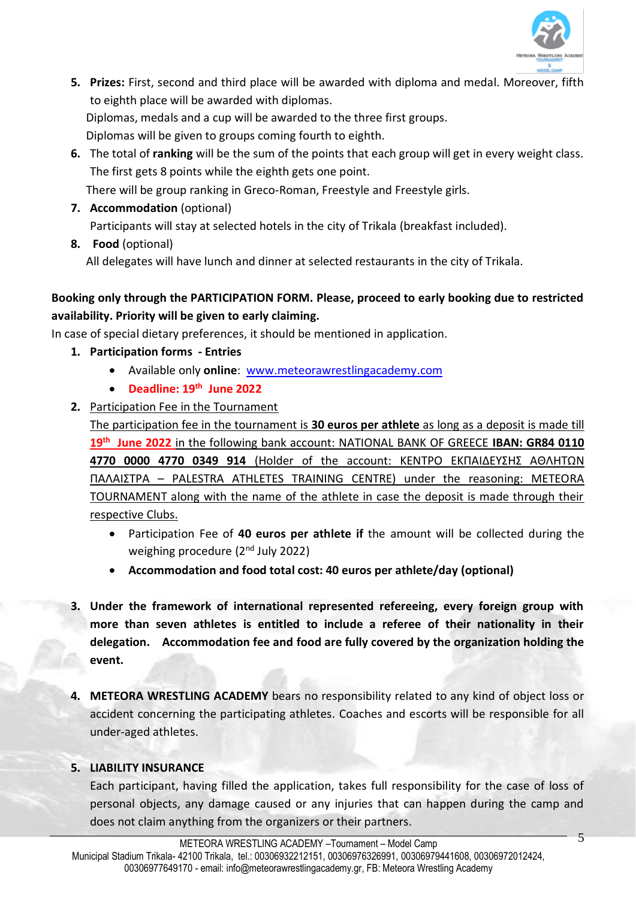

- **5. Prizes:** First, second and third place will be awarded with diploma and medal. Moreover, fifth to eighth place will be awarded with diplomas. Diplomas, medals and a cup will be awarded to the three first groups. Diplomas will be given to groups coming fourth to eighth.
- **6.** The total of **ranking** will be the sum of the points that each group will get in every weight class. The first gets 8 points while the eighth gets one point. There will be group ranking in Greco-Roman, Freestyle and Freestyle girls.
- **7. Accommodation** (optional) Participants will stay at selected hotels in the city of Trikala (breakfast included).
- **8. Food** (optional)

All delegates will have lunch and dinner at selected restaurants in the city of Trikala.

## **Booking only through the PARTICIPATION FORM. Please, proceed to early booking due to restricted availability. Priority will be given to early claiming.**

In case of special dietary preferences, it should be mentioned in application.

- **1. Participation forms - Entries**
	- Available only **online**: [www.meteorawrestlingacademy.com](http://www.meteorawrestlingacademy.com/)
	- **Deadline: 19th June 2022**
- **2.** Participation Fee in the Tournament

The participation fee in the tournament is **30 euros per athlete** as long as a deposit is made till **19th June 2022** in the following bank account: NATIONAL BANK OF GREECE **IBAN: GR84 0110 4770 0000 4770 0349 914** (Holder of the account: ΚΕΝΤΡΟ ΕΚΠΑΙΔΕΥΣΗΣ ΑΘΛΗΤΩΝ ΠΑΛΑΙΣΤΡΑ – PALESTRA ATHLETES TRAINING CENTRE) under the reasoning: METEORA TOURNAMENT along with the name of the athlete in case the deposit is made through their respective Clubs.

- Participation Fee of **40 euros per athlete if** the amount will be collected during the weighing procedure (2<sup>nd</sup> July 2022)
- **Accommodation and food total cost: 40 euros per athlete/day (optional)**
- **3. Under the framework of international represented refereeing, every foreign group with more than seven athletes is entitled to include a referee of their nationality in their delegation. Accommodation fee and food are fully covered by the organization holding the event.**
- **4. METEORA WRESTLING ACADEMY** bears no responsibility related to any kind of object loss or accident concerning the participating athletes. Coaches and escorts will be responsible for all under-aged athletes.

#### **5. LIABILITY INSURANCE**

Each participant, having filled the application, takes full responsibility for the case of loss of personal objects, any damage caused or any injuries that can happen during the camp and does not claim anything from the organizers or their partners.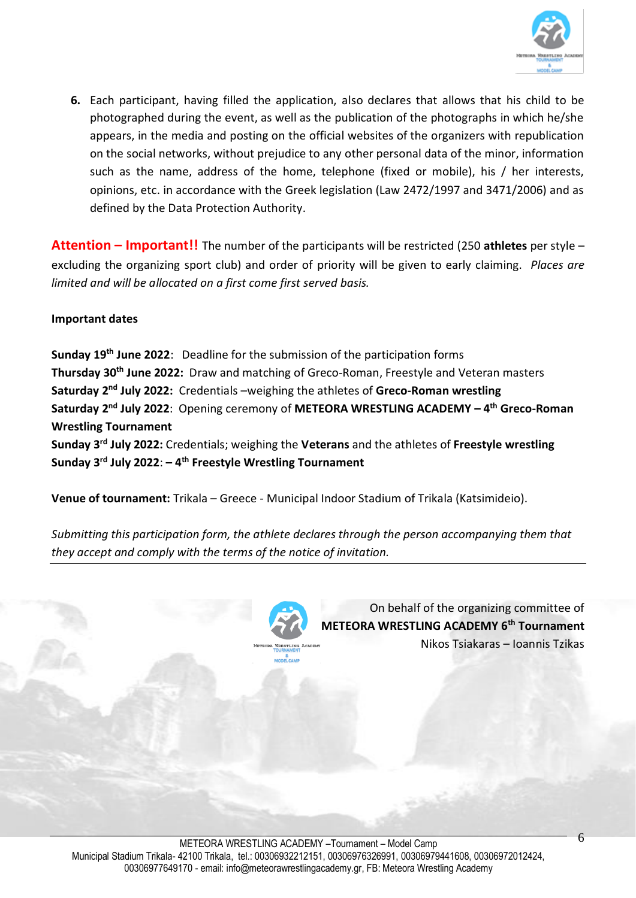

**6.** Each participant, having filled the application, also declares that allows that his child to be photographed during the event, as well as the publication of the photographs in which he/she appears, in the media and posting on the official websites of the organizers with republication on the social networks, without prejudice to any other personal data of the minor, information such as the name, address of the home, telephone (fixed or mobile), his / her interests, opinions, etc. in accordance with the Greek legislation (Law 2472/1997 and 3471/2006) and as defined by the Data Protection Authority.

**Attention – Important!!** The number of the participants will be restricted (250 **athletes** per style – excluding the organizing sport club) and order of priority will be given to early claiming. *Places are limited and will be allocated on a first come first served basis.*

#### **Important dates**

**Sunday 19th June 2022**: Deadline for the submission of the participation forms **Thursday 30th June 2022:** Draw and matching of Greco-Roman, Freestyle and Veteran masters **Saturday 2<sup>nd</sup> July 2022:** Credentials –weighing the athletes of Greco-Roman wrestling **Saturday 2<sup>nd</sup> July 2022**: Opening ceremony of METEORA WRESTLING ACADEMY – 4<sup>th</sup> Greco-Roman **Wrestling Tournament Sunday 3 rd July 2022:** Credentials; weighing the **Veterans** and the athletes of **Freestyle wrestling**

**Venue of tournament:** Trikala – Greece - Municipal Indoor Stadium of Trikala (Katsimideio).

**Sunday 3 rd July 2022**: **– 4 th Freestyle Wrestling Tournament**

*Submitting this participation form, the athlete declares through the person accompanying them that they accept and comply with the terms of the notice of invitation.* 



On behalf of the organizing committee of **METEORA WRESTLING ACADEMY 6<sup>th</sup> Tournament** Nikos Tsiakaras – Ioannis Tzikas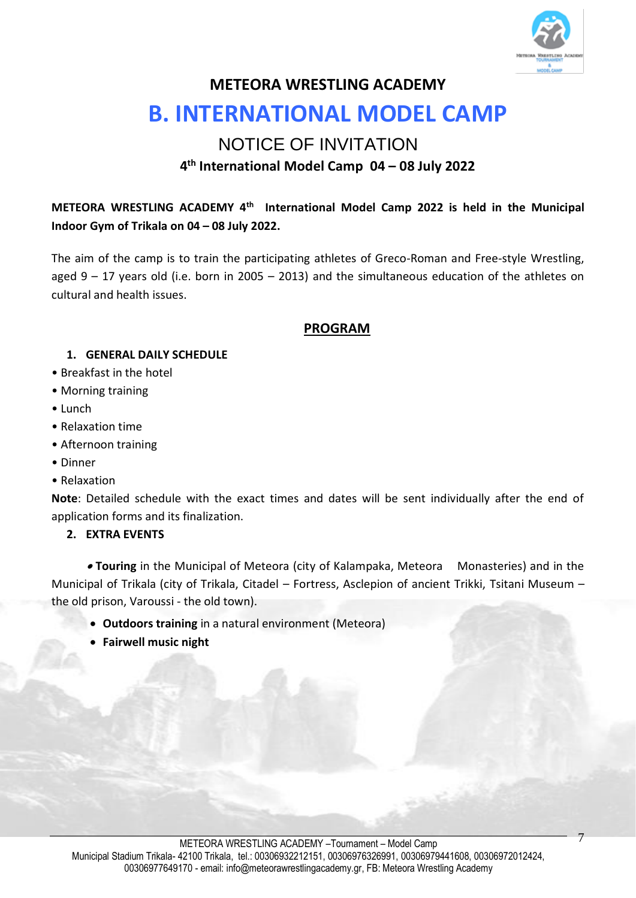

## **METEORA WRESTLING ACADEMY**

# **B. INTERNATIONAL MODEL CAMP**

## NOTICE OF INVITATION **4 th International Model Camp 04 – 08 July 2022**

**METEORA WRESTLING ACADEMY 4 th International Model Camp 2022 is held in the Municipal Indoor Gym of Trikala on 04 – 08 July 2022.**

The aim of the camp is to train the participating athletes of Greco-Roman and Free-style Wrestling, aged 9 – 17 years old (i.e. born in 2005 – 2013) and the simultaneous education of the athletes on cultural and health issues.

#### **PROGRAM**

#### **1. GENERAL DAILY SCHEDULE**

- Breakfast in the hotel
- Morning training
- Lunch
- Relaxation time
- Afternoon training
- Dinner
- Relaxation

**Note**: Detailed schedule with the exact times and dates will be sent individually after the end of application forms and its finalization.

#### **2. EXTRA EVENTS**

 **Touring** in the Municipal of Meteora (city of Kalampaka, Meteora Monasteries) and in the Municipal of Trikala (city of Trikala, Citadel – Fortress, Asclepion of ancient Trikki, Tsitani Museum – the old prison, Varoussi - the old town).

- **Outdoors training** in a natural environment (Meteora)
- **Fairwell music night**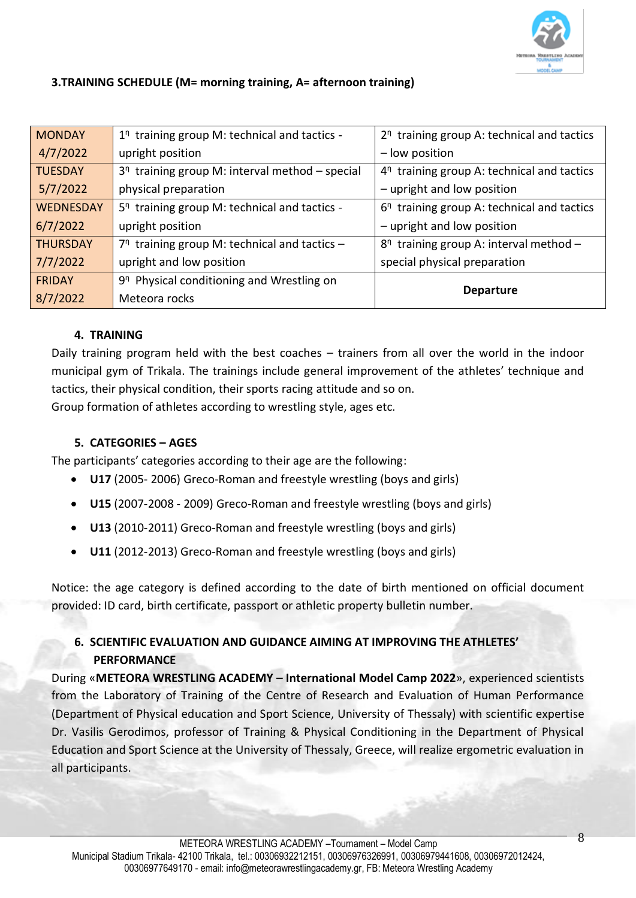

#### **3.TRAINING SCHEDULE (M= morning training, Α= afternoon training)**

| <b>MONDAY</b>    | $1n$ training group M: technical and tactics -        | $2^n$ training group A: technical and tactics |
|------------------|-------------------------------------------------------|-----------------------------------------------|
| 4/7/2022         | upright position                                      | - low position                                |
| <b>TUESDAY</b>   | $3^n$ training group M: interval method - special     | $4^n$ training group A: technical and tactics |
| 5/7/2022         | physical preparation                                  | - upright and low position                    |
| <b>WEDNESDAY</b> | $5n$ training group M: technical and tactics -        | $6n$ training group A: technical and tactics  |
| 6/7/2022         | upright position                                      | - upright and low position                    |
| <b>THURSDAY</b>  | $7n$ training group M: technical and tactics -        | $8n$ training group A: interval method -      |
| 7/7/2022         | upright and low position                              | special physical preparation                  |
| <b>FRIDAY</b>    | 9 <sup>n</sup> Physical conditioning and Wrestling on | <b>Departure</b>                              |
| 8/7/2022         | Meteora rocks                                         |                                               |

#### **4. TRAINING**

Daily training program held with the best coaches – trainers from all over the world in the indoor municipal gym of Trikala. The trainings include general improvement of the athletes' technique and tactics, their physical condition, their sports racing attitude and so on. Group formation of athletes according to wrestling style, ages etc.

#### **5. CATEGORIES – AGES**

The participants' categories according to their age are the following:

- **U17** (2005- 2006) Greco-Roman and freestyle wrestling (boys and girls)
- **U15** (2007-2008 2009) Greco-Roman and freestyle wrestling (boys and girls)
- **U13** (2010-2011) Greco-Roman and freestyle wrestling (boys and girls)
- **U11** (2012-2013) Greco-Roman and freestyle wrestling (boys and girls)

Notice: the age category is defined according to the date of birth mentioned on official document provided: ID card, birth certificate, passport or athletic property bulletin number.

## **6. SCIENTIFIC EVALUATION AND GUIDANCE AIMING AT IMPROVING THE ATHLETES' PERFORMANCE**

During «**METEORA WRESTLING ACADEMY – International Model Camp 2022**», experienced scientists from the Laboratory of Training of the Centre of Research and Evaluation of Human Performance (Department of Physical education and Sport Science, University of Thessaly) with scientific expertise Dr. Vasilis Gerodimos, professor of Training & Physical Conditioning in the Department of Physical Education and Sport Science at the University of Thessaly, Greece, will realize ergometric evaluation in all participants.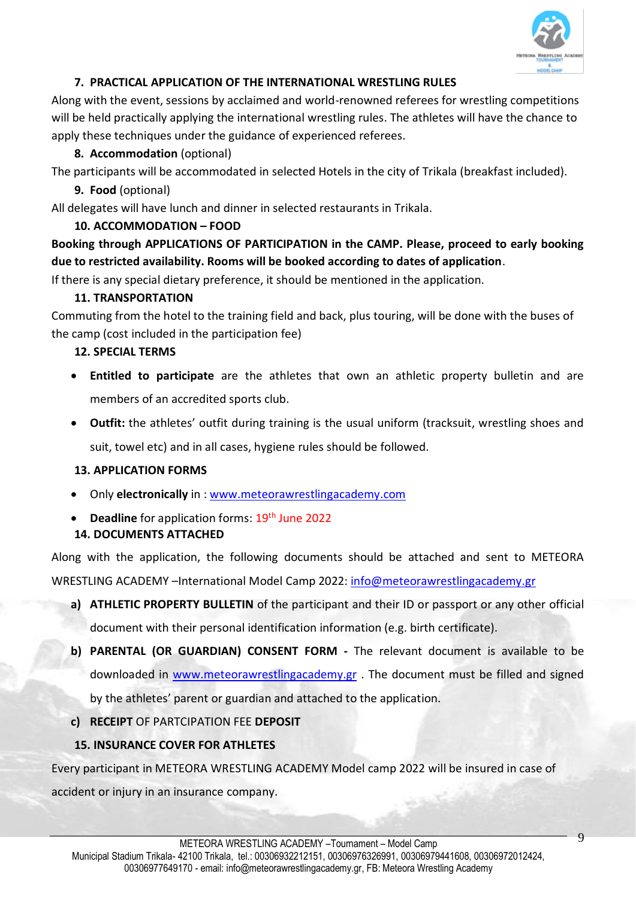

### **7. PRACTICAL APPLICATION OF THE INTERNATIONAL WRESTLING RULES**

Along with the event, sessions by acclaimed and world-renowned referees for wrestling competitions will be held practically applying the international wrestling rules. The athletes will have the chance to apply these techniques under the guidance of experienced referees.

### **8. Accommodation** (optional)

The participants will be accommodated in selected Hotels in the city of Trikala (breakfast included).

**9. Food** (optional)

All delegates will have lunch and dinner in selected restaurants in Trikala.

### **10. ACCOMMODATION – FOOD**

**Booking through APPLICATIONS OF PARTICIPATION in the CAMP. Please, proceed to early booking due to restricted availability. Rooms will be booked according to dates of application**.

If there is any special dietary preference, it should be mentioned in the application.

## **11. TRANSPORTATION**

Commuting from the hotel to the training field and back, plus touring, will be done with the buses of the camp (cost included in the participation fee)

## **12. SPECIAL TERMS**

- **Entitled to participate** are the athletes that own an athletic property bulletin and are members of an accredited sports club.
- **Outfit:** the athletes' outfit during training is the usual uniform (tracksuit, wrestling shoes and

suit, towel etc) and in all cases, hygiene rules should be followed.

#### **13. APPLICATION FORMS**

- Only **electronically** in : [www.meteorawrestlingacademy.com](http://www.meteorawrestlingacademy.com/)
- **Deadline** for application forms: 19<sup>th</sup> June 2022

## **14. DOCUMENTS ATTACHED**

Along with the application, the following documents should be attached and sent to METEORA

WRESTLING ACADEMY -International Model Camp 2022: [info@meteorawrestlingacademy.gr](mailto:info@meteorawrestlingacademy.gr)

- **a) ATHLETIC PROPERTY BULLETIN** of the participant and their ID or passport or any other official document with their personal identification information (e.g. birth certificate).
- **b) PARENTAL (OR GUARDIAN) CONSENT FORM -** The relevant document is available to be downloaded in [www.meteorawrestlingacademy.gr](http://www.meteorawrestlingacademy.gr/) . The document must be filled and signed by the athletes' parent or guardian and attached to the application.

## **c) RECEIPT** OF PARTCIPATION FEE **DEPOSIT**

## **15. INSURANCE COVER FOR ATHLETES**

Every participant in METEORA WRESTLING ACADEMY Model camp 2022 will be insured in case of accident or injury in an insurance company.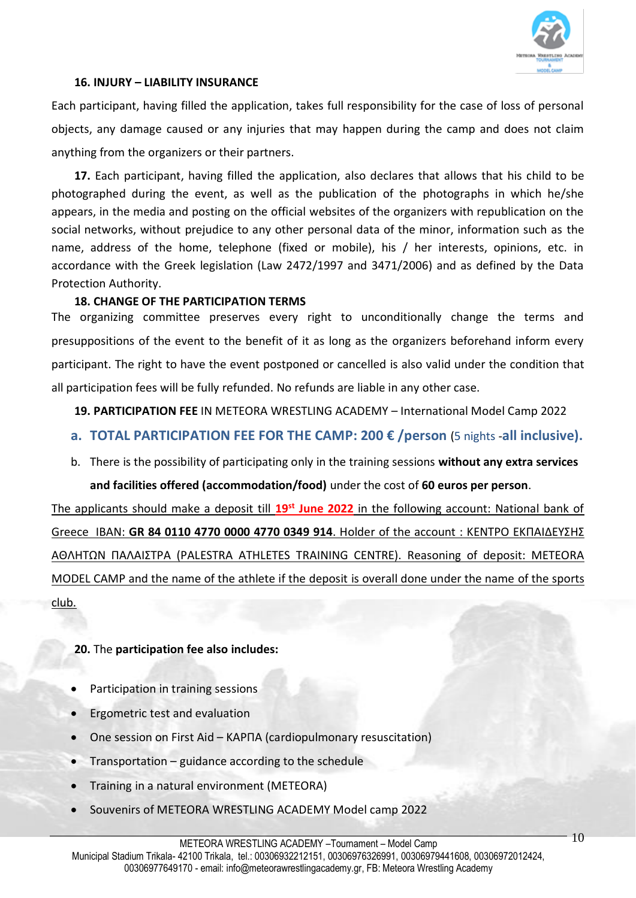

#### **16. INJURY – LIABILITY INSURANCE**

Each participant, having filled the application, takes full responsibility for the case of loss of personal objects, any damage caused or any injuries that may happen during the camp and does not claim anything from the organizers or their partners.

**17.** Each participant, having filled the application, also declares that allows that his child to be photographed during the event, as well as the publication of the photographs in which he/she appears, in the media and posting on the official websites of the organizers with republication on the social networks, without prejudice to any other personal data of the minor, information such as the name, address of the home, telephone (fixed or mobile), his / her interests, opinions, etc. in accordance with the Greek legislation (Law 2472/1997 and 3471/2006) and as defined by the Data Protection Authority.

#### **18. CHANGE OF THE PARTICIPATION TERMS**

The organizing committee preserves every right to unconditionally change the terms and presuppositions of the event to the benefit of it as long as the organizers beforehand inform every participant. The right to have the event postponed or cancelled is also valid under the condition that all participation fees will be fully refunded. No refunds are liable in any other case.

#### **19. PARTICIPATION FEE** IN METEORA WRESTLING ACADEMY – International Model Camp 2022

#### **a. TOTAL PARTICIPATION FEE FOR THE CAMP: 200 € /person** (5 nights -**all inclusive).**

b. There is the possibility of participating only in the training sessions **without any extra services** 

#### **and facilities offered (accommodation/food)** under the cost of **60 euros per person**.

The applicants should make a deposit till **19st June 2022** in the following account: National bank of Greece IBAN: **GR 84 0110 4770 0000 4770 0349 914**. Holder of the account : ΚΕΝΤΡΟ ΕΚΠΑΙΔΕΥΣΗΣ ΑΘΛΗΤΩΝ ΠΑΛΑΙΣΤΡΑ (PALESTRA ATHLETES TRAINING CENTRE). Reasoning of deposit: METEORA MODEL CAMP and the name of the athlete if the deposit is overall done under the name of the sports club.

#### **20.** The **participation fee also includes:**

- Participation in training sessions
- Ergometric test and evaluation
- One session on First Aid ΚΑΡΠΑ (cardiopulmonary resuscitation)
- Transportation guidance according to the schedule
- Training in a natural environment (METEORA)
- Souvenirs of METEORA WRESTLING ACADEMY Model camp 2022